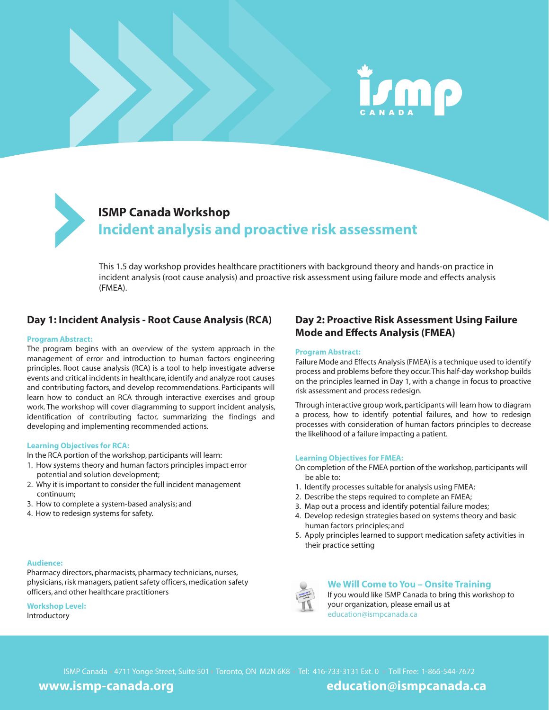



### **ISMP Canada Workshop Incident analysis and proactive risk assessment**

This 1.5 day workshop provides healthcare practitioners with background theory and hands-on practice in incident analysis (root cause analysis) and proactive risk assessment using failure mode and effects analysis (FMEA).

#### **Day 1: Incident Analysis - Root Cause Analysis (RCA)**

#### **Program Abstract:**

The program begins with an overview of the system approach in the management of error and introduction to human factors engineering principles. Root cause analysis (RCA) is a tool to help investigate adverse events and critical incidents in healthcare, identify and analyze root causes and contributing factors, and develop recommendations. Participants will learn how to conduct an RCA through interactive exercises and group work. The workshop will cover diagramming to support incident analysis, identification of contributing factor, summarizing the findings and developing and implementing recommended actions.

#### **Learning Objectives for RCA:**

In the RCA portion of the workshop, participants will learn:

- 1. How systems theory and human factors principles impact error potential and solution development;
- 2. Why it is important to consider the full incident management continuum;
- 3. How to complete a system-based analysis; and
- 4. How to redesign systems for safety.

#### **Audience:**

Pharmacy directors, pharmacists, pharmacy technicians, nurses, physicians, risk managers, patient safety officers, medication safety officers, and other healthcare practitioners

**Workshop Level:** Introductory

### **Day 2: Proactive Risk Assessment Using Failure Mode and Effects Analysis (FMEA)**

#### **Program Abstract:**

Failure Mode and Effects Analysis (FMEA) is a technique used to identify process and problems before they occur. This half-day workshop builds on the principles learned in Day 1, with a change in focus to proactive risk assessment and process redesign.

Through interactive group work, participants will learn how to diagram a process, how to identify potential failures, and how to redesign processes with consideration of human factors principles to decrease the likelihood of a failure impacting a patient.

#### **Learning Objectives for FMEA:**

- On completion of the FMEA portion of the workshop, participants will be able to:
- 1. Identify processes suitable for analysis using FMEA;
- 2. Describe the steps required to complete an FMEA;
- 3. Map out a process and identify potential failure modes;
- 4. Develop redesign strategies based on systems theory and basic human factors principles; and
- 5. Apply principles learned to support medication safety activities in their practice setting



#### **We Will Come to You – Onsite Training**

If you would like ISMP Canada to bring this workshop to your organization, please email us at education@ismpcanada.ca

ISMP Canada - 4711 Yonge Street, Suite 501 - Toronto, ON M2N 6K8 - Tel: 416-733-3131 Ext. 0 - Toll Free: 1-866-544-7672

**www.ismp-canada.org education@ismpcanada.ca**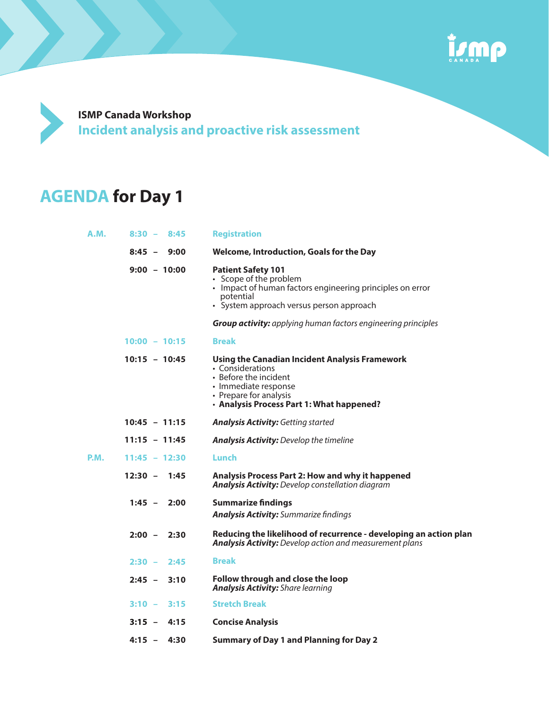

**ISMP Canada Workshop Incident analysis and proactive risk assessment**

# **AGENDA for Day 1**

| A.M. | $8:30 -$<br>8:45 | <b>Registration</b>                                                                                                                                                                        |
|------|------------------|--------------------------------------------------------------------------------------------------------------------------------------------------------------------------------------------|
|      | $8:45 - 9:00$    | <b>Welcome, Introduction, Goals for the Day</b>                                                                                                                                            |
|      | $9:00 - 10:00$   | <b>Patient Safety 101</b><br>• Scope of the problem<br>• Impact of human factors engineering principles on error<br>potential<br>• System approach versus person approach                  |
|      |                  | <b>Group activity:</b> applying human factors engineering principles                                                                                                                       |
|      | $10:00 - 10:15$  | <b>Break</b>                                                                                                                                                                               |
|      | $10:15 - 10:45$  | Using the Canadian Incident Analysis Framework<br>• Considerations<br>• Before the incident<br>• Immediate response<br>• Prepare for analysis<br>• Analysis Process Part 1: What happened? |
|      | $10:45 - 11:15$  | <b>Analysis Activity: Getting started</b>                                                                                                                                                  |
|      | $11:15 - 11:45$  | <b>Analysis Activity:</b> Develop the timeline                                                                                                                                             |
| P.M. | $11:45 - 12:30$  | Lunch                                                                                                                                                                                      |
|      | $12:30 - 1:45$   | Analysis Process Part 2: How and why it happened<br><b>Analysis Activity:</b> Develop constellation diagram                                                                                |
|      | $1:45 - 2:00$    | <b>Summarize findings</b><br><b>Analysis Activity:</b> Summarize findings                                                                                                                  |
|      | $2:00 -$<br>2:30 | Reducing the likelihood of recurrence - developing an action plan<br><b>Analysis Activity:</b> Develop action and measurement plans                                                        |
|      | $2:30 -$<br>2:45 | <b>Break</b>                                                                                                                                                                               |
|      | $2:45 -$<br>3:10 | Follow through and close the loop<br><b>Analysis Activity:</b> Share learning                                                                                                              |
|      | $3:10 -$<br>3:15 | <b>Stretch Break</b>                                                                                                                                                                       |
|      | $3:15 -$<br>4:15 | <b>Concise Analysis</b>                                                                                                                                                                    |
|      | $4:15 -$<br>4:30 | <b>Summary of Day 1 and Planning for Day 2</b>                                                                                                                                             |